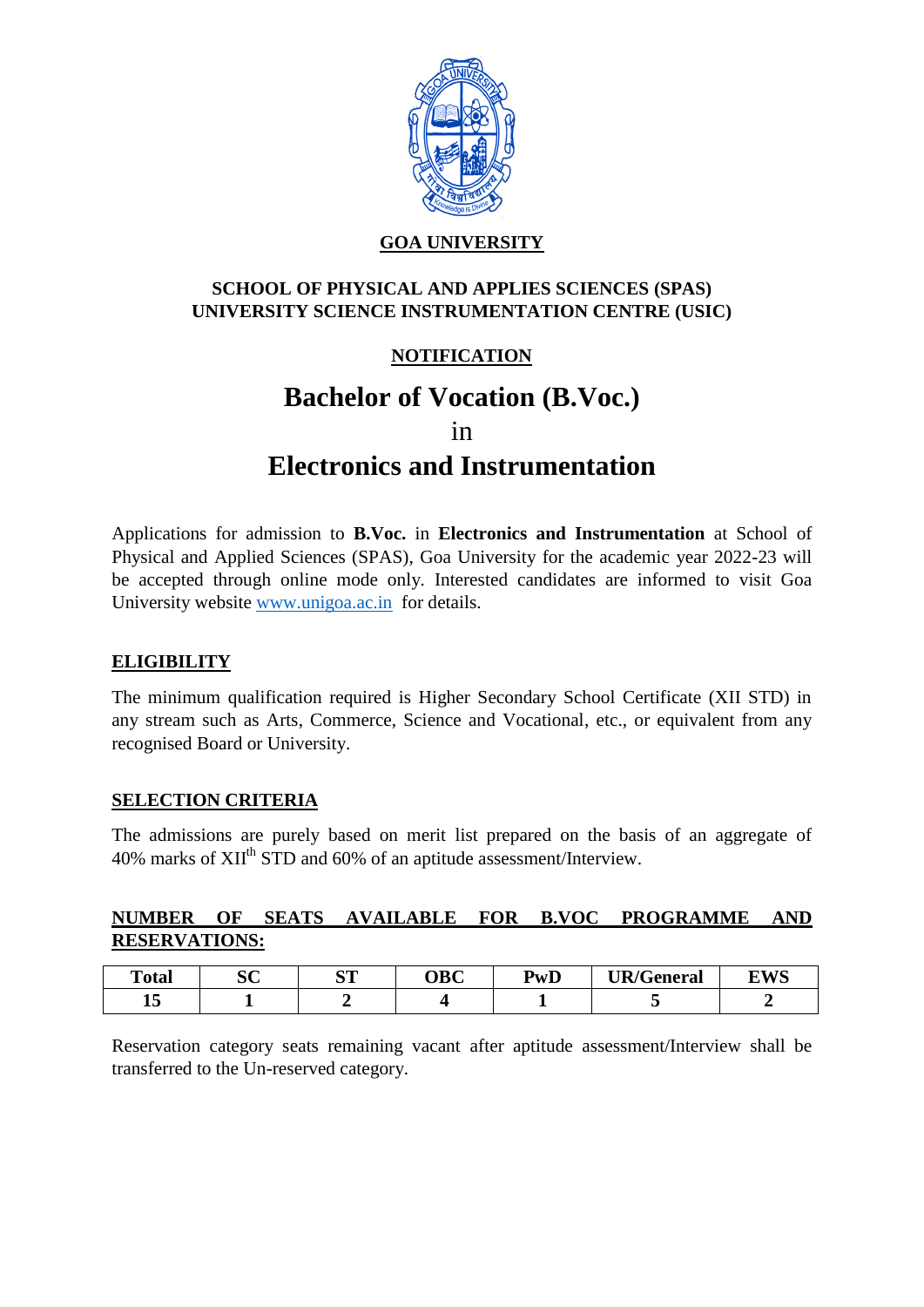

## **GOA UNIVERSITY**

## **SCHOOL OF PHYSICAL AND APPLIES SCIENCES (SPAS) UNIVERSITY SCIENCE INSTRUMENTATION CENTRE (USIC)**

# **NOTIFICATION**

# **Bachelor of Vocation (B.Voc.)**

in

# **Electronics and Instrumentation**

Applications for admission to **B.Voc.** in **Electronics and Instrumentation** at School of Physical and Applied Sciences (SPAS), Goa University for the academic year 2022-23 will be accepted through online mode only. Interested candidates are informed to visit Goa University website [www.unigoa.ac.in](http://www.unigoa.ac.in/) for details.

#### **ELIGIBILITY**

The minimum qualification required is Higher Secondary School Certificate (XII STD) in any stream such as Arts, Commerce, Science and Vocational, etc., or equivalent from any recognised Board or University.

#### **SELECTION CRITERIA**

The admissions are purely based on merit list prepared on the basis of an aggregate of 40% marks of XII<sup>th</sup> STD and 60% of an aptitude assessment/Interview.

#### **NUMBER OF SEATS AVAILABLE FOR B.VOC PROGRAMME AND RESERVATIONS:**

| <b>Total</b> | aΩ<br>◡◟ | am<br>ັ | OBC | <b>PwD</b> | UR/G<br>General | FWS |
|--------------|----------|---------|-----|------------|-----------------|-----|
| - -<br>∸     |          |         |     |            |                 |     |

Reservation category seats remaining vacant after aptitude assessment/Interview shall be transferred to the Un-reserved category.